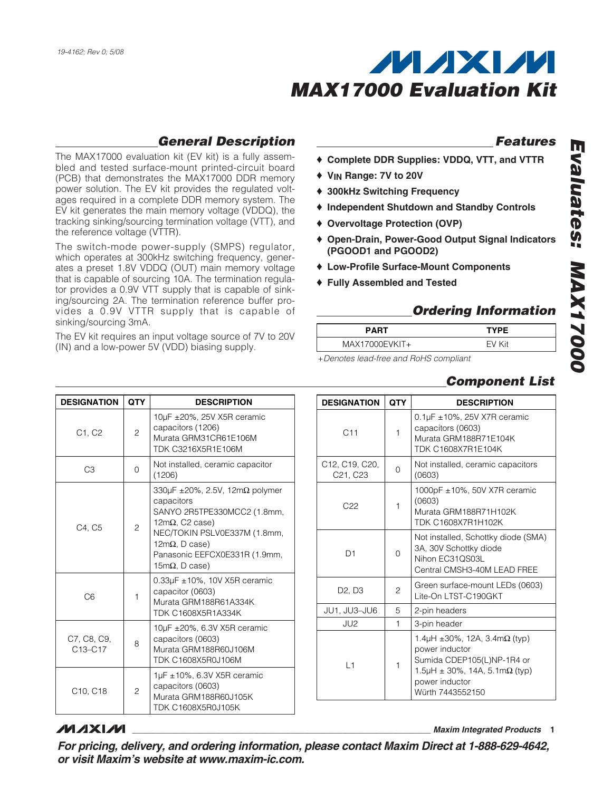

### **General Description**

The MAX17000 evaluation kit (EV kit) is a fully assembled and tested surface-mount printed-circuit board (PCB) that demonstrates the MAX17000 DDR memory power solution. The EV kit provides the regulated voltages required in a complete DDR memory system. The EV kit generates the main memory voltage (VDDQ), the tracking sinking/sourcing termination voltage (VTT), and the reference voltage (VTTR).

The switch-mode power-supply (SMPS) regulator, which operates at 300kHz switching frequency, generates a preset 1.8V VDDQ (OUT) main memory voltage that is capable of sourcing 10A. The termination regulator provides a 0.9V VTT supply that is capable of sinking/sourcing 2A. The termination reference buffer provides a 0.9V VTTR supply that is capable of sinking/sourcing 3mA.

The EV kit requires an input voltage source of 7V to 20V (IN) and a low-power 5V (VDD) biasing supply.

#### **Features**

**Evaluates: MAX17000**

**DOOL I XVW** 

valuates:

- ♦ **Complete DDR Supplies: VDDQ, VTT, and VTTR**
- ♦ **VIN Range: 7V to 20V**
- ♦ **300kHz Switching Frequency**
- ♦ **Independent Shutdown and Standby Controls**
- ♦ **Overvoltage Protection (OVP)**
- ♦ **Open-Drain, Power-Good Output Signal Indicators (PGOOD1 and PGOOD2)**
- ♦ **Low-Profile Surface-Mount Components**
- ♦ **Fully Assembled and Tested**

### **Ordering Information**

| <b>PART</b>                           | <b>TYPE</b> |
|---------------------------------------|-------------|
| MAX17000EVKIT+                        | FV Kit      |
| Depates load from and DoLIC compliant |             |

+Denotes lead-free and RoHS compliant

|  | <b>DESIGNATION</b>              | <b>QTY</b>   | <b>DESCRIPTION</b>                                                                                                                                                            |
|--|---------------------------------|--------------|-------------------------------------------------------------------------------------------------------------------------------------------------------------------------------|
|  | C11                             | 1            | $0.1 \mu$ F ± 10%, 25V X7R ceramic<br>capacitors (0603)<br>Murata GRM188R71E104K<br><b>TDK C1608X7R1E104K</b>                                                                 |
|  | C12, C19, C20,<br>C21, C23      | $\Omega$     | Not installed, ceramic capacitors<br>(0603)                                                                                                                                   |
|  | C <sub>22</sub>                 | 1            | 1000pF $\pm$ 10%, 50V X7R ceramic<br>(0603)<br>Murata GRM188R71H102K<br><b>TDK C1608X7R1H102K</b>                                                                             |
|  | D <sub>1</sub>                  | 0            | Not installed, Schottky diode (SMA)<br>3A, 30V Schottky diode<br>Nihon EC31QS03L<br>Central CMSH3-40M LEAD FREE                                                               |
|  | D <sub>2</sub> , D <sub>3</sub> | 2            | Green surface-mount LEDs (0603)<br>Lite-On LTST-C190GKT                                                                                                                       |
|  | JU1, JU3-JU6                    | 5            | 2-pin headers                                                                                                                                                                 |
|  | JU2                             | $\mathbf{1}$ | 3-pin header                                                                                                                                                                  |
|  | L1                              | $\mathbf{1}$ | 1.4 $\mu$ H ±30%, 12A, 3.4m $\Omega$ (typ)<br>power inductor<br>Sumida CDEP105(L)NP-1R4 or<br>1.5µH $\pm$ 30%, 14A, 5.1m $\Omega$ (typ)<br>power inductor<br>Würth 7443552150 |

### **Component List**

*MAXM* 

**\_\_\_\_\_\_\_\_\_\_\_\_\_\_\_\_\_\_\_\_\_\_\_\_\_\_\_\_\_\_\_\_\_\_\_\_\_\_\_\_\_\_\_\_\_\_\_\_\_\_\_\_\_\_\_\_\_\_\_\_\_\_\_\_ Maxim Integrated Products 1**

**For pricing, delivery, and ordering information, please contact Maxim Direct at 1-888-629-4642, or visit Maxim's website at www.maxim-ic.com.**

| <b>DESIGNATION</b>                              | <b>QTY</b>     | <b>DESCRIPTION</b>                                                                                                                                                                                                                       |
|-------------------------------------------------|----------------|------------------------------------------------------------------------------------------------------------------------------------------------------------------------------------------------------------------------------------------|
| C1, C2                                          | $\overline{c}$ | 10µF ±20%, 25V X5R ceramic<br>capacitors (1206)<br>Murata GRM31CR61E106M<br>TDK C3216X5R1F106M                                                                                                                                           |
| CЗ                                              | <sup>o</sup>   | Not installed, ceramic capacitor<br>(1206)                                                                                                                                                                                               |
| C4. C5                                          | 2              | 330 $\mu$ F ±20%, 2.5V, 12m $\Omega$ polymer<br>capacitors<br>SANYO 2R5TPE330MCC2 (1.8mm,<br>$12m\Omega$ , C2 case)<br>NEC/TOKIN PSLV0E337M (1.8mm,<br>12m $\Omega$ , D case)<br>Panasonic EEFCX0E331R (1.9mm,<br>15m $\Omega$ , D case) |
| C <sub>6</sub>                                  | 1              | $0.33\mu$ F $\pm$ 10%, 10V X5R ceramic<br>capacitor (0603)<br>Murata GRM188R61A334K<br><b>TDK C1608X5R1A334K</b>                                                                                                                         |
| C7, C8, C9,<br>C <sub>13</sub> -C <sub>17</sub> | 8              | 10µF ±20%, 6.3V X5R ceramic<br>capacitors (0603)<br>Murata GRM188R60J106M<br>TDK C1608X5R0J106M                                                                                                                                          |
| C <sub>10</sub> . C <sub>18</sub>               | $\overline{c}$ | 1µF ±10%, 6.3V X5R ceramic<br>capacitors (0603)<br>Murata GRM188R60J105K<br>TDK C1608X5R0J105K                                                                                                                                           |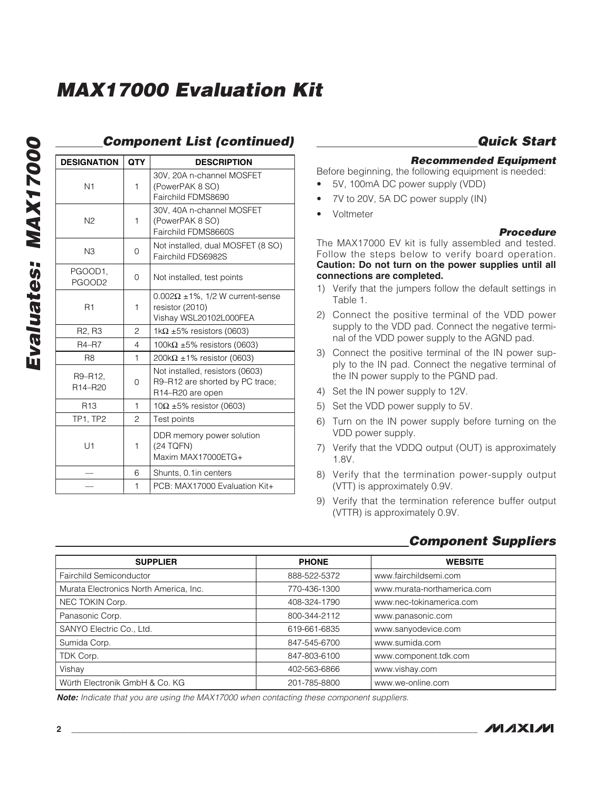| j      |
|--------|
| ļ      |
| l<br>I |
|        |
|        |
| I<br>٦ |

### **Component List (continued)**

| <b>DESIGNATION</b>                          | <b>QTY</b>     | <b>DESCRIPTION</b>                                                                       |  |
|---------------------------------------------|----------------|------------------------------------------------------------------------------------------|--|
| N <sub>1</sub>                              | 1              | 30V, 20A n-channel MOSFET<br>(PowerPAK 8 SO)<br>Fairchild FDMS8690                       |  |
| N <sub>2</sub>                              | 1              | 30V, 40A n-channel MOSFET<br>(PowerPAK 8 SO)<br>Fairchild FDMS8660S                      |  |
| N3                                          | 0              | Not installed, dual MOSFET (8 SO)<br>Fairchild FDS6982S                                  |  |
| PGOOD1,<br>PGOOD <sub>2</sub>               | $\Omega$       | Not installed, test points                                                               |  |
| R <sub>1</sub>                              | 1              | $0.002\Omega \pm 1\%$ , 1/2 W current-sense<br>resistor (2010)<br>Vishay WSL20102L000FEA |  |
| R <sub>2</sub> , R <sub>3</sub>             | 2              | 1k $\Omega$ ±5% resistors (0603)                                                         |  |
| <b>R4-R7</b>                                | $\overline{4}$ | 100k $\Omega$ ±5% resistors (0603)                                                       |  |
| R <sub>8</sub>                              | 1              | $200k\Omega \pm 1\%$ resistor (0603)                                                     |  |
| R9-R12.<br>R <sub>14</sub> -R <sub>20</sub> | 0              | Not installed, resistors (0603)<br>R9-R12 are shorted by PC trace;<br>R14-R20 are open   |  |
| R <sub>13</sub>                             | 1              | $10\Omega \pm 5\%$ resistor (0603)                                                       |  |
| <b>TP1, TP2</b>                             | $\overline{c}$ | Test points                                                                              |  |
| U1                                          | 1              | DDR memory power solution<br>(24 TQFN)<br>Maxim MAX17000ETG+                             |  |
|                                             | 6              | Shunts, 0.1in centers                                                                    |  |
|                                             | 1              | PCB: MAX17000 Evaluation Kit+                                                            |  |

### **Quick Start**

#### **Recommended Equipment**

Before beginning, the following equipment is needed:

- 5V, 100mA DC power supply (VDD)
- 7V to 20V, 5A DC power supply (IN)
- Voltmeter

#### **Procedure**

The MAX17000 EV kit is fully assembled and tested. Follow the steps below to verify board operation. **Caution: Do not turn on the power supplies until all connections are completed.**

- 1) Verify that the jumpers follow the default settings in Table 1.
- 2) Connect the positive terminal of the VDD power supply to the VDD pad. Connect the negative terminal of the VDD power supply to the AGND pad.
- 3) Connect the positive terminal of the IN power supply to the IN pad. Connect the negative terminal of the IN power supply to the PGND pad.
- 4) Set the IN power supply to 12V.
- 5) Set the VDD power supply to 5V.
- 6) Turn on the IN power supply before turning on the VDD power supply.
- 7) Verify that the VDDQ output (OUT) is approximately 1.8V.
- 8) Verify that the termination power-supply output (VTT) is approximately 0.9V.
- 9) Verify that the termination reference buffer output (VTTR) is approximately 0.9V.

| <b>SUPPLIER</b>                        | <b>PHONE</b> | <b>WEBSITE</b>              |
|----------------------------------------|--------------|-----------------------------|
| Fairchild Semiconductor                | 888-522-5372 | www.fairchildsemi.com       |
| Murata Electronics North America, Inc. | 770-436-1300 | www.murata-northamerica.com |
| NEC TOKIN Corp.                        | 408-324-1790 | www.nec-tokinamerica.com    |
| Panasonic Corp.                        | 800-344-2112 | www.panasonic.com           |
| SANYO Electric Co., Ltd.               | 619-661-6835 | www.sanyodevice.com         |
| Sumida Corp.                           | 847-545-6700 | www.sumida.com              |
| TDK Corp.                              | 847-803-6100 | www.component.tdk.com       |
| Vishay                                 | 402-563-6866 | www.vishay.com              |
| Würth Electronik GmbH & Co. KG         | 201-785-8800 | www.we-online.com           |

### **Component Suppliers**

**Note:** Indicate that you are using the MAX17000 when contacting these component suppliers.

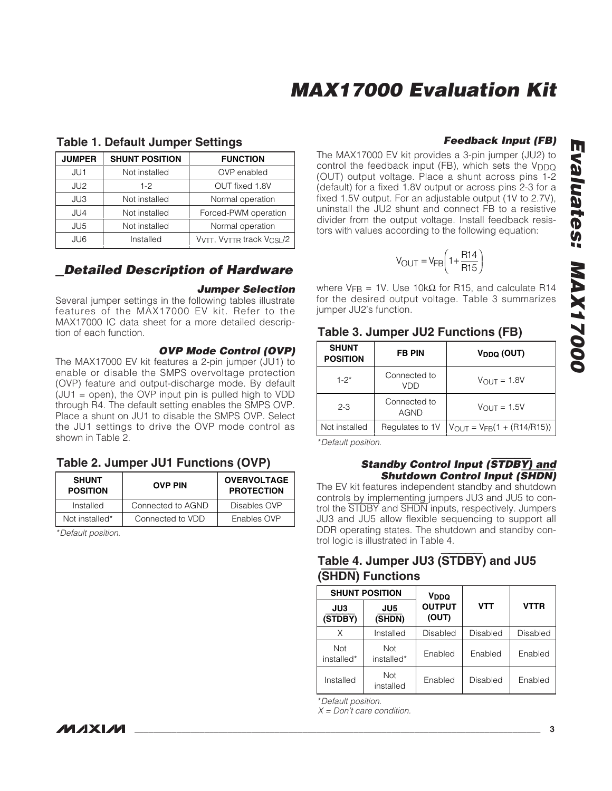| <b>JUMPER</b>   | <b>SHUNT POSITION</b>   | <b>FUNCTION</b>                       |
|-----------------|-------------------------|---------------------------------------|
| JU1             | Not installed           | OVP enabled                           |
| JU <sub>2</sub> | OUT fixed 1.8V<br>$1-2$ |                                       |
| JU3             | Not installed           | Normal operation                      |
| JU4             | Not installed           | Forced-PWM operation                  |
| JU <sub>5</sub> | Not installed           | Normal operation                      |
| JU6             | Installed               | VVTT, VVTTR track V <sub>CSL</sub> /2 |

#### **Table 1. Default Jumper Settings**

### **Detailed Description of Hardware**

#### **Jumper Selection**

Several jumper settings in the following tables illustrate features of the MAX17000 EV kit. Refer to the MAX17000 IC data sheet for a more detailed description of each function.

#### **OVP Mode Control (OVP)**

The MAX17000 EV kit features a 2-pin jumper (JU1) to enable or disable the SMPS overvoltage protection (OVP) feature and output-discharge mode. By default  $(UU1 = open)$ , the OVP input pin is pulled high to VDD through R4. The default setting enables the SMPS OVP. Place a shunt on JU1 to disable the SMPS OVP. Select the JU1 settings to drive the OVP mode control as shown in Table 2.

### **Table 2. Jumper JU1 Functions (OVP)**

| <b>SHUNT</b><br><b>POSITION</b> | <b>OVP PIN</b>    | <b>OVERVOLTAGE</b><br><b>PROTECTION</b> |
|---------------------------------|-------------------|-----------------------------------------|
| Installed                       | Connected to AGND | Disables OVP                            |
| Not installed*                  | Connected to VDD  | Enables OVP                             |

\*Default position.

#### **Feedback Input (FB)**

The MAX17000 EV kit provides a 3-pin jumper (JU2) to control the feedback input (FB), which sets the  $V_{\text{DDQ}}$ (OUT) output voltage. Place a shunt across pins 1-2 (default) for a fixed 1.8V output or across pins 2-3 for a fixed 1.5V output. For an adjustable output (1V to 2.7V), uninstall the JU2 shunt and connect FB to a resistive divider from the output voltage. Install feedback resistors with values according to the following equation:

$$
V_{\text{OUT}} = V_{\text{FB}} \left( 1 + \frac{R14}{R15} \right)
$$

where V<sub>FB</sub> = 1V. Use 10kΩ for R15, and calculate R14 for the desired output voltage. Table 3 summarizes jumper JU2's function.

#### **Table 3. Jumper JU2 Functions (FB)**

| <b>SHUNT</b><br><b>POSITION</b> | <b>FB PIN</b>               | V <sub>DDQ</sub> (OUT)            |
|---------------------------------|-----------------------------|-----------------------------------|
| $1 - 2^*$                       | Connected to<br>VDD         | $V_{OUT} = 1.8V$                  |
| $2 - 3$                         | Connected to<br><b>AGND</b> | $V_{\text{OUT}} = 1.5V$           |
| Not installed                   | Regulates to 1V             | $V_{OUT} = V_{FB}(1 + (R14/R15))$ |

\*Default position.

#### **Standby Control Input (**STDBY**) and Shutdown Control Input (**SHDN**)**

The EV kit features independent standby and shutdown controls by implementing jumpers JU3 and JU5 to control the STDBY and SHDN inputs, respectively. Jumpers JU3 and JU5 allow flexible sequencing to support all DDR operating states. The shutdown and standby control logic is illustrated in Table 4.

### **Table 4. Jumper JU3 (**STDBY**) and JU5 (**SHDN**) Functions**

|                   | <b>SHUNT POSITION</b> |                        |            |             |
|-------------------|-----------------------|------------------------|------------|-------------|
| JU3<br>(STDBY)    | JU5<br>(SHDN)         | <b>OUTPUT</b><br>(OUT) | <b>VTT</b> | <b>VTTR</b> |
| Χ                 | Installed             | Disabled               | Disabled   | Disabled    |
| Not<br>installed* | Not<br>installed*     | Enabled                | Enabled    | Enabled     |
| Installed         | Not<br>installed      | Enabled                | Disabled   | Enabled     |

\*Default position.

 $X = Don't$  care condition.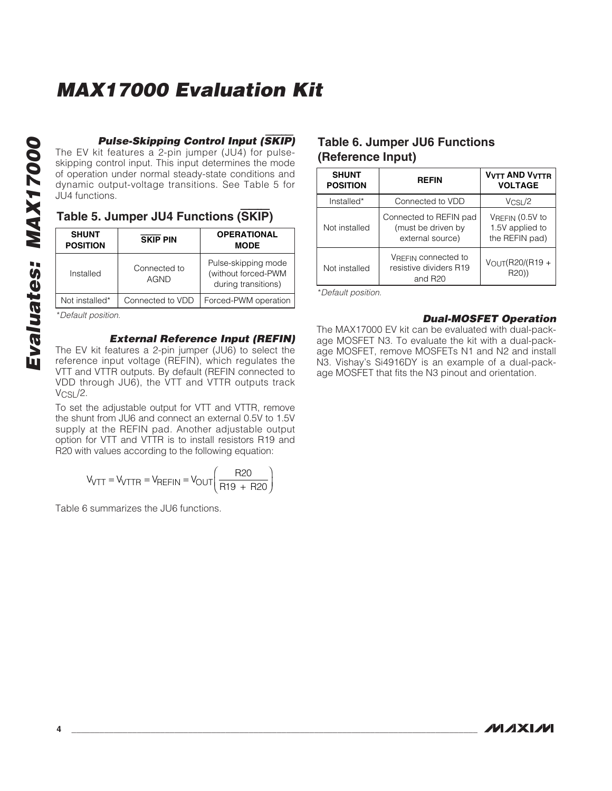**Pulse-Skipping Control Input (**SKIP**)**

The EV kit features a 2-pin jumper (JU4) for pulseskipping control input. This input determines the mode of operation under normal steady-state conditions and dynamic output-voltage transitions. See Table 5 for JU4 functions.

### **Table 5. Jumper JU4 Functions (**SKIP**)**

| <b>SHUNT</b><br><b>POSITION</b> | <b>SKIP PIN</b>             | <b>OPERATIONAL</b><br><b>MODE</b>                                 |
|---------------------------------|-----------------------------|-------------------------------------------------------------------|
| Installed                       | Connected to<br><b>AGND</b> | Pulse-skipping mode<br>(without forced-PWM<br>during transitions) |
| Not installed*                  | Connected to VDD            | Forced-PWM operation                                              |
| $*$ Dofoult position            |                             |                                                                   |

\*Default position.

#### **External Reference Input (REFIN)**

The EV kit features a 2-pin jumper (JU6) to select the reference input voltage (REFIN), which regulates the VTT and VTTR outputs. By default (REFIN connected to VDD through JU6), the VTT and VTTR outputs track V<sub>CSL</sub>/2.

To set the adjustable output for VTT and VTTR, remove the shunt from JU6 and connect an external 0.5V to 1.5V supply at the REFIN pad. Another adjustable output option for VTT and VTTR is to install resistors R19 and R20 with values according to the following equation:

$$
V_{\text{VTT}} = V_{\text{VTTR}} = V_{\text{REFIN}} = V_{\text{OUT}} \left( \frac{\text{R20}}{\text{R19 + R20}} \right)
$$

Table 6 summarizes the JU6 functions.

### **Table 6. Jumper JU6 Functions (Reference Input)**

| <b>SHUNT</b><br><b>POSITION</b> | <b>REFIN</b>                                                         | <b>VVTT AND VVTTR</b><br><b>VOLTAGE</b>              |
|---------------------------------|----------------------------------------------------------------------|------------------------------------------------------|
| Installed*                      | Connected to VDD                                                     | $V_{CSL}/2$                                          |
| Not installed                   | Connected to REFIN pad<br>(must be driven by<br>external source)     | VREFIN (0.5V to<br>1.5V applied to<br>the REFIN pad) |
| Not installed                   | VREFIN CONNected to<br>resistive dividers R19<br>and R <sub>20</sub> | VOUT(R20/(R19+<br>R20))                              |

\*Default position.

#### **Dual-MOSFET Operation**

The MAX17000 EV kit can be evaluated with dual-package MOSFET N3. To evaluate the kit with a dual-package MOSFET, remove MOSFETs N1 and N2 and install N3. Vishay's Si4916DY is an example of a dual-package MOSFET that fits the N3 pinout and orientation.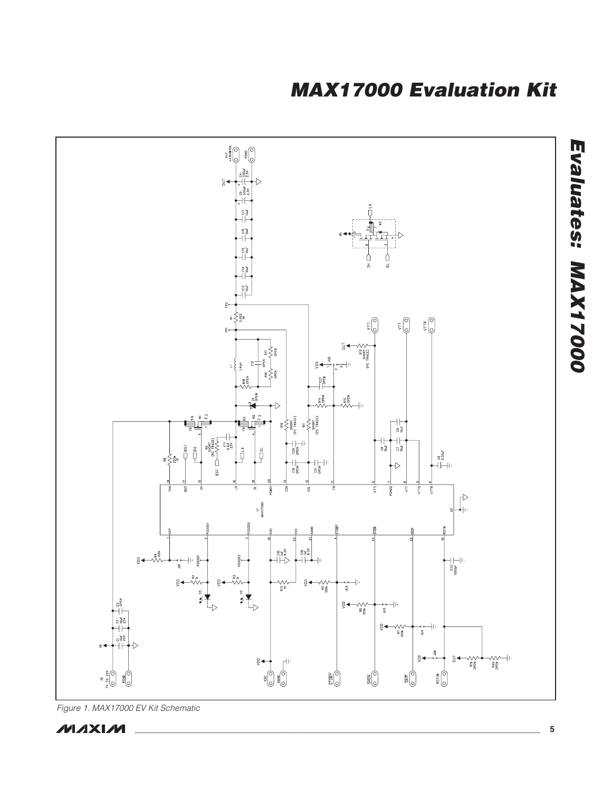

Figure 1. MAX17000 EV Kit Schematic



**\_\_\_\_\_\_\_\_\_\_\_\_\_\_\_\_\_\_\_\_\_\_\_\_\_\_\_\_\_\_\_\_\_\_\_\_\_\_\_\_\_\_\_\_\_\_\_\_\_\_\_\_\_\_\_\_\_\_\_\_\_\_\_\_\_\_\_\_\_\_\_\_\_\_\_\_\_\_\_\_\_\_\_\_\_\_\_ 5**

**Evaluates: MAX17000**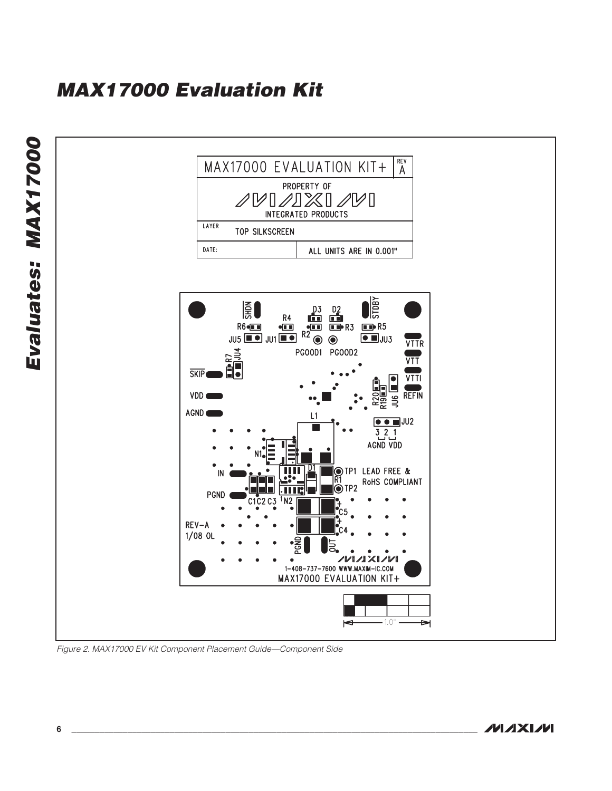

Figure 2. MAX17000 EV Kit Component Placement Guide—Component Side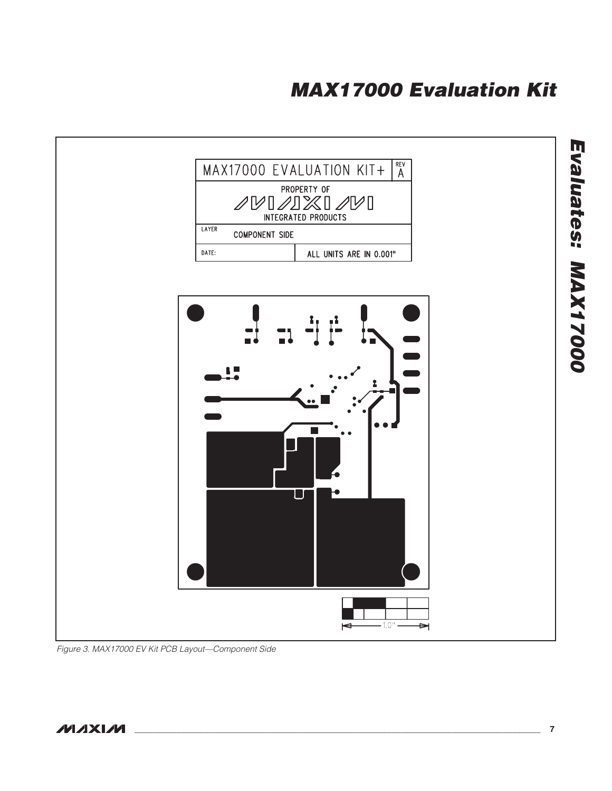

Figure 3. MAX17000 EV Kit PCB Layout—Component Side

**Evaluates: MAX17000**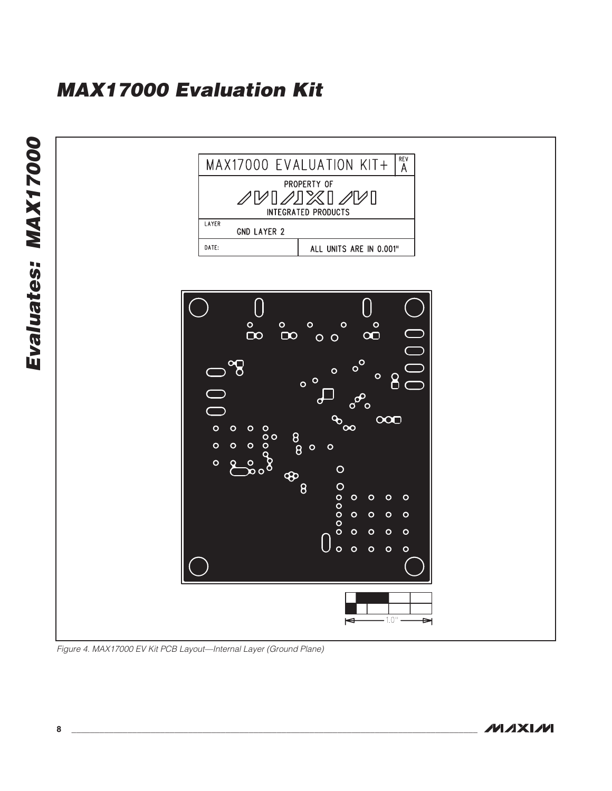

Figure 4. MAX17000 EV Kit PCB Layout—Internal Layer (Ground Plane)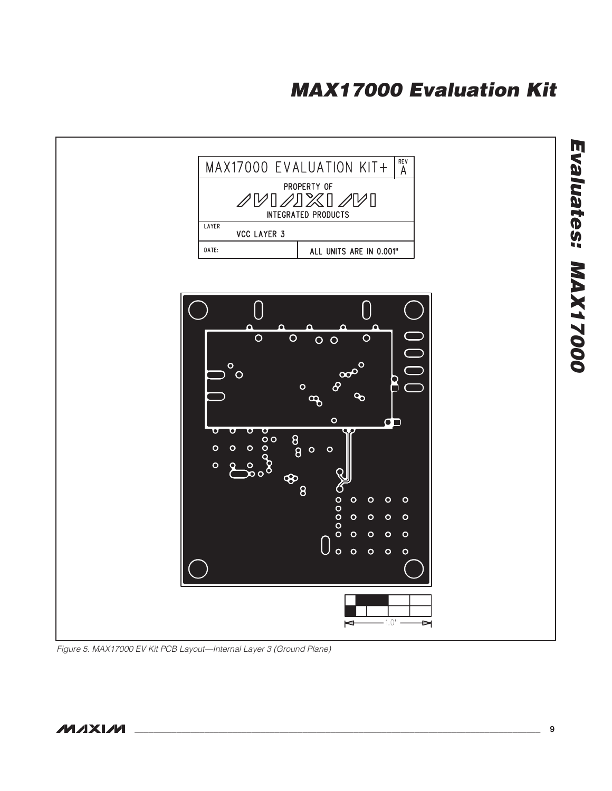

Figure 5. MAX17000 EV Kit PCB Layout—Internal Layer 3 (Ground Plane)

**Evaluates: MAX17000**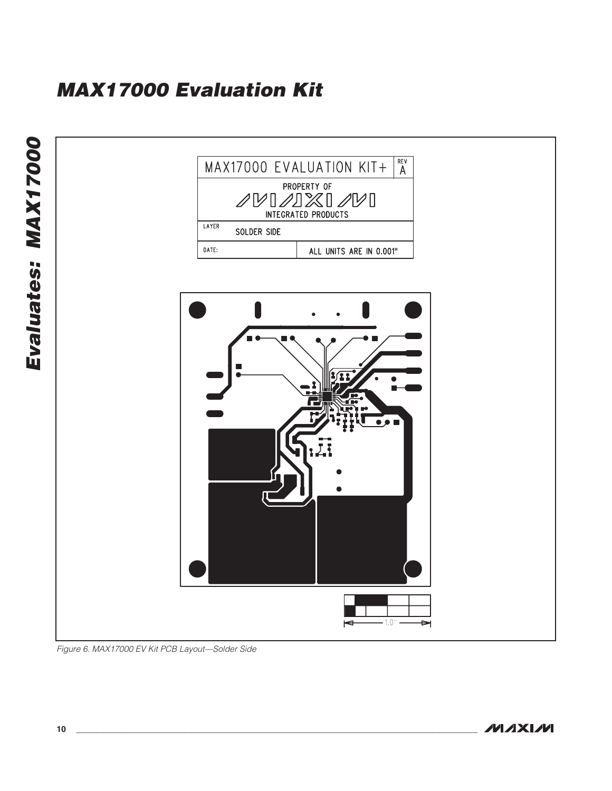

Figure 6. MAX17000 EV Kit PCB Layout—Solder Side